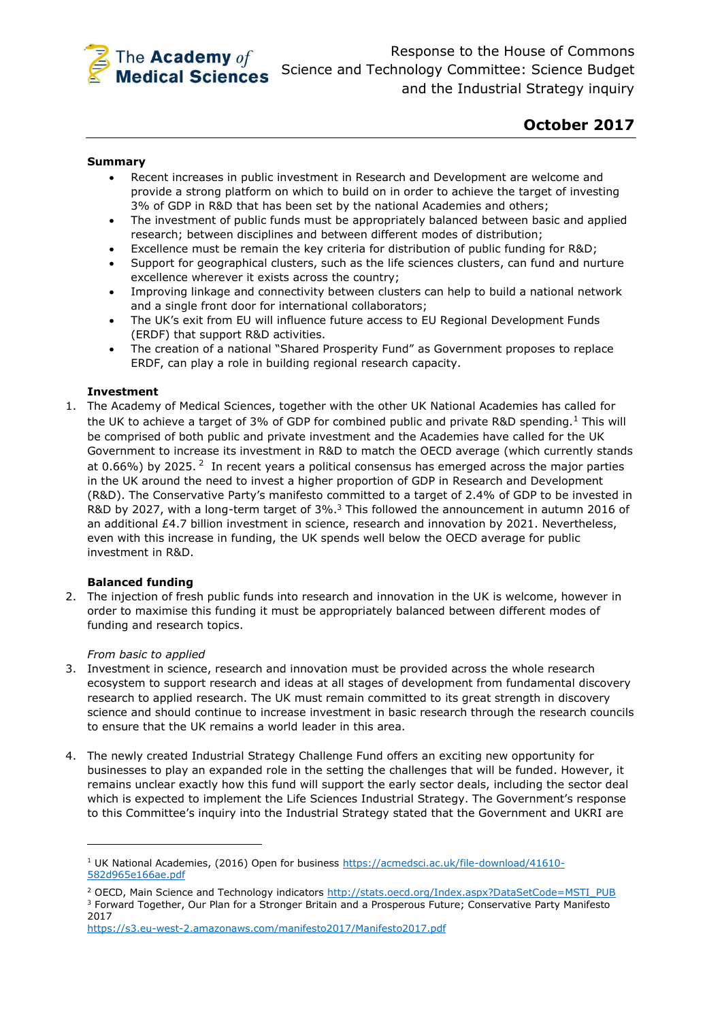

# **October 2017**

# **Summary**

- Recent increases in public investment in Research and Development are welcome and provide a strong platform on which to build on in order to achieve the target of investing 3% of GDP in R&D that has been set by the national Academies and others;
- The investment of public funds must be appropriately balanced between basic and applied research; between disciplines and between different modes of distribution;
- Excellence must be remain the key criteria for distribution of public funding for R&D;
- Support for geographical clusters, such as the life sciences clusters, can fund and nurture excellence wherever it exists across the country;
- Improving linkage and connectivity between clusters can help to build a national network and a single front door for international collaborators;
- The UK's exit from EU will influence future access to EU Regional Development Funds (ERDF) that support R&D activities.
- The creation of a national "Shared Prosperity Fund" as Government proposes to replace ERDF, can play a role in building regional research capacity.

# **Investment**

1. The Academy of Medical Sciences, together with the other UK National Academies has called for the UK to achieve a target of 3% of GDP for combined public and private R&D spending.<sup>1</sup> This will be comprised of both public and private investment and the Academies have called for the UK Government to increase its investment in R&D to match the OECD average (which currently stands at 0.66%) by 2025. <sup>2</sup> In recent years a political consensus has emerged across the major parties in the UK around the need to invest a higher proportion of GDP in Research and Development (R&D). The Conservative Party's manifesto committed to a target of 2.4% of GDP to be invested in R&D by 2027, with a long-term target of 3%.<sup>3</sup> This followed the announcement in autumn 2016 of an additional £4.7 billion investment in science, research and innovation by 2021. Nevertheless, even with this increase in funding, the UK spends well below the OECD average for public investment in R&D.

## **Balanced funding**

2. The injection of fresh public funds into research and innovation in the UK is welcome, however in order to maximise this funding it must be appropriately balanced between different modes of funding and research topics.

## *From basic to applied*

**.** 

- 3. Investment in science, research and innovation must be provided across the whole research ecosystem to support research and ideas at all stages of development from fundamental discovery research to applied research. The UK must remain committed to its great strength in discovery science and should continue to increase investment in basic research through the research councils to ensure that the UK remains a world leader in this area.
- 4. The newly created Industrial Strategy Challenge Fund offers an exciting new opportunity for businesses to play an expanded role in the setting the challenges that will be funded. However, it remains unclear exactly how this fund will support the early sector deals, including the sector deal which is expected to implement the Life Sciences Industrial Strategy. The Government's response to this Committee's inquiry into the Industrial Strategy stated that the Government and UKRI are

<sup>&</sup>lt;sup>1</sup> UK National Academies, (2016) Open for business [https://acmedsci.ac.uk/file-download/41610-](https://acmedsci.ac.uk/file-download/41610-582d965e166ae.pdf) [582d965e166ae.pdf](https://acmedsci.ac.uk/file-download/41610-582d965e166ae.pdf)

<sup>&</sup>lt;sup>2</sup> OECD, Main Science and Technology indicators [http://stats.oecd.org/Index.aspx?DataSetCode=MSTI\\_PUB](http://stats.oecd.org/Index.aspx?DataSetCode=MSTI_PUB) <sup>3</sup> Forward Together, Our Plan for a Stronger Britain and a Prosperous Future; Conservative Party Manifesto 2017

<https://s3.eu-west-2.amazonaws.com/manifesto2017/Manifesto2017.pdf>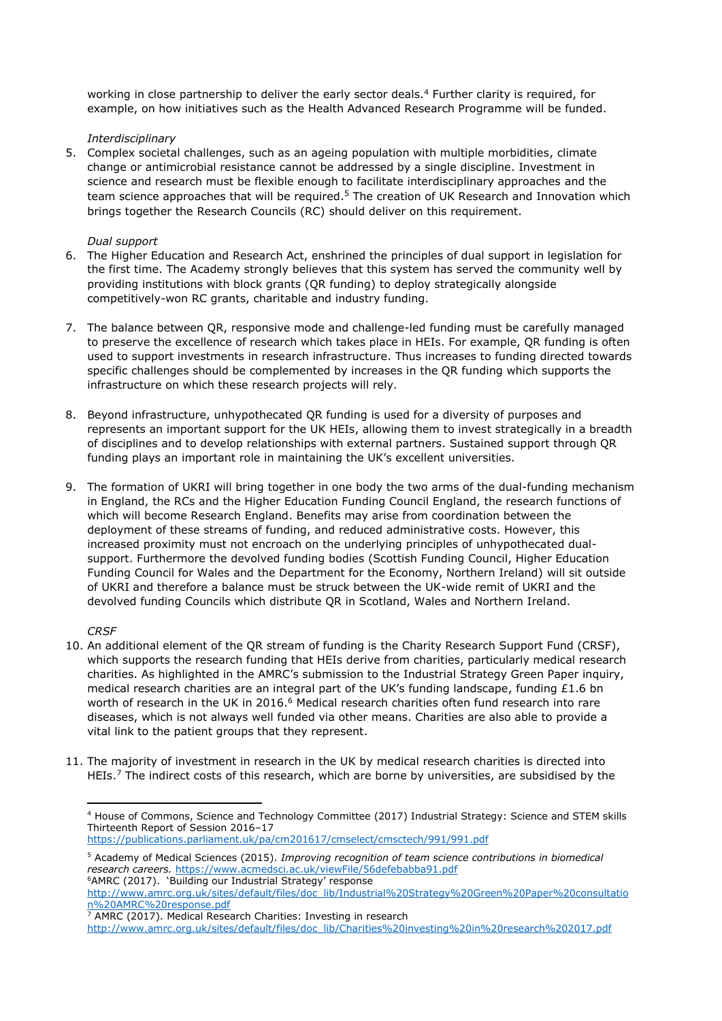working in close partnership to deliver the early sector deals.<sup>4</sup> Further clarity is required, for example, on how initiatives such as the Health Advanced Research Programme will be funded.

# *Interdisciplinary*

5. Complex societal challenges, such as an ageing population with multiple morbidities, climate change or antimicrobial resistance cannot be addressed by a single discipline. Investment in science and research must be flexible enough to facilitate interdisciplinary approaches and the team science approaches that will be required.<sup>5</sup> The creation of UK Research and Innovation which brings together the Research Councils (RC) should deliver on this requirement.

# *Dual support*

- 6. The Higher Education and Research Act, enshrined the principles of dual support in legislation for the first time. The Academy strongly believes that this system has served the community well by providing institutions with block grants (QR funding) to deploy strategically alongside competitively-won RC grants, charitable and industry funding.
- 7. The balance between QR, responsive mode and challenge-led funding must be carefully managed to preserve the excellence of research which takes place in HEIs. For example, QR funding is often used to support investments in research infrastructure. Thus increases to funding directed towards specific challenges should be complemented by increases in the QR funding which supports the infrastructure on which these research projects will rely.
- 8. Beyond infrastructure, unhypothecated QR funding is used for a diversity of purposes and represents an important support for the UK HEIs, allowing them to invest strategically in a breadth of disciplines and to develop relationships with external partners. Sustained support through QR funding plays an important role in maintaining the UK's excellent universities.
- 9. The formation of UKRI will bring together in one body the two arms of the dual-funding mechanism in England, the RCs and the Higher Education Funding Council England, the research functions of which will become Research England. Benefits may arise from coordination between the deployment of these streams of funding, and reduced administrative costs. However, this increased proximity must not encroach on the underlying principles of unhypothecated dualsupport. Furthermore the devolved funding bodies (Scottish Funding Council, Higher Education Funding Council for Wales and the Department for the Economy, Northern Ireland) will sit outside of UKRI and therefore a balance must be struck between the UK-wide remit of UKRI and the devolved funding Councils which distribute QR in Scotland, Wales and Northern Ireland.

# *CRSF*

**.** 

- 10. An additional element of the QR stream of funding is the Charity Research Support Fund (CRSF), which supports the research funding that HEIs derive from charities, particularly medical research charities. As highlighted in the AMRC's submission to the Industrial Strategy Green Paper inquiry, medical research charities are an integral part of the UK's funding landscape, funding £1.6 bn worth of research in the UK in 2016.<sup>6</sup> Medical research charities often fund research into rare diseases, which is not always well funded via other means. Charities are also able to provide a vital link to the patient groups that they represent.
- 11. The majority of investment in research in the UK by medical research charities is directed into HEIs.<sup>7</sup> The indirect costs of this research, which are borne by universities, are subsidised by the

<https://publications.parliament.uk/pa/cm201617/cmselect/cmsctech/991/991.pdf>

<sup>4</sup> House of Commons, Science and Technology Committee (2017) Industrial Strategy: Science and STEM skills Thirteenth Report of Session 2016–17

<sup>5</sup> Academy of Medical Sciences (2015). *Improving recognition of team science contributions in biomedical research careers.* <https://www.acmedsci.ac.uk/viewFile/56defebabba91.pdf> <sup>6</sup>AMRC (2017). 'Building our Industrial Strategy' response

[http://www.amrc.org.uk/sites/default/files/doc\\_lib/Industrial%20Strategy%20Green%20Paper%20consultatio](http://www.amrc.org.uk/sites/default/files/doc_lib/Industrial%20Strategy%20Green%20Paper%20consultation%20AMRC%20response.pdf) [n%20AMRC%20response.pdf](http://www.amrc.org.uk/sites/default/files/doc_lib/Industrial%20Strategy%20Green%20Paper%20consultation%20AMRC%20response.pdf)

 $\frac{7}{7}$  AMRC (2017). Medical Research Charities: Investing in research [http://www.amrc.org.uk/sites/default/files/doc\\_lib/Charities%20investing%20in%20research%202017.pdf](http://www.amrc.org.uk/sites/default/files/doc_lib/Charities%20investing%20in%20research%202017.pdf)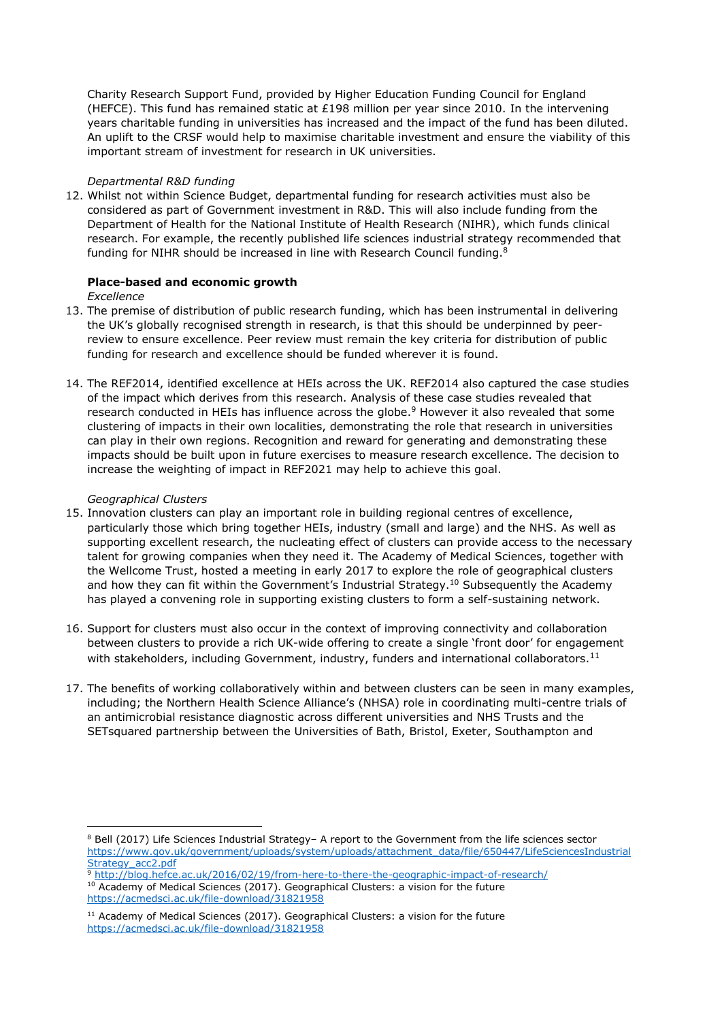Charity Research Support Fund, provided by Higher Education Funding Council for England (HEFCE). This fund has remained static at £198 million per year since 2010. In the intervening years charitable funding in universities has increased and the impact of the fund has been diluted. An uplift to the CRSF would help to maximise charitable investment and ensure the viability of this important stream of investment for research in UK universities.

# *Departmental R&D funding*

12. Whilst not within Science Budget, departmental funding for research activities must also be considered as part of Government investment in R&D. This will also include funding from the Department of Health for the National Institute of Health Research (NIHR), which funds clinical research. For example, the recently published life sciences industrial strategy recommended that funding for NIHR should be increased in line with Research Council funding.<sup>8</sup>

# **Place-based and economic growth**

*Excellence*

- 13. The premise of distribution of public research funding, which has been instrumental in delivering the UK's globally recognised strength in research, is that this should be underpinned by peerreview to ensure excellence. Peer review must remain the key criteria for distribution of public funding for research and excellence should be funded wherever it is found.
- 14. The REF2014, identified excellence at HEIs across the UK. REF2014 also captured the case studies of the impact which derives from this research. Analysis of these case studies revealed that research conducted in HEIs has influence across the globe.<sup>9</sup> However it also revealed that some clustering of impacts in their own localities, demonstrating the role that research in universities can play in their own regions. Recognition and reward for generating and demonstrating these impacts should be built upon in future exercises to measure research excellence. The decision to increase the weighting of impact in REF2021 may help to achieve this goal.

## *Geographical Clusters*

 $\overline{a}$ 

- 15. Innovation clusters can play an important role in building regional centres of excellence, particularly those which bring together HEIs, industry (small and large) and the NHS. As well as supporting excellent research, the nucleating effect of clusters can provide access to the necessary talent for growing companies when they need it. The Academy of Medical Sciences, together with the Wellcome Trust, hosted a meeting in early 2017 to explore the role of geographical clusters and how they can fit within the Government's Industrial Strategy.<sup>10</sup> Subsequently the Academy has played a convening role in supporting existing clusters to form a self-sustaining network.
- 16. Support for clusters must also occur in the context of improving connectivity and collaboration between clusters to provide a rich UK-wide offering to create a single 'front door' for engagement with stakeholders, including Government, industry, funders and international collaborators.<sup>11</sup>
- 17. The benefits of working collaboratively within and between clusters can be seen in many examples, including; the Northern Health Science Alliance's (NHSA) role in coordinating multi-centre trials of an antimicrobial resistance diagnostic across different universities and NHS Trusts and the SETsquared partnership between the Universities of Bath, Bristol, Exeter, Southampton and

<sup>9</sup> <http://blog.hefce.ac.uk/2016/02/19/from-here-to-there-the-geographic-impact-of-research/>

10 Academy of Medical Sciences (2017). Geographical Clusters: a vision for the future <https://acmedsci.ac.uk/file-download/31821958>

<sup>8</sup> Bell (2017) Life Sciences Industrial Strategy– A report to the Government from the life sciences sector [https://www.gov.uk/government/uploads/system/uploads/attachment\\_data/file/650447/LifeSciencesIndustrial](https://www.gov.uk/government/uploads/system/uploads/attachment_data/file/650447/LifeSciencesIndustrialStrategy_acc2.pdf) [Strategy\\_acc2.pdf](https://www.gov.uk/government/uploads/system/uploads/attachment_data/file/650447/LifeSciencesIndustrialStrategy_acc2.pdf)

 $11$  Academy of Medical Sciences (2017). Geographical Clusters: a vision for the future <https://acmedsci.ac.uk/file-download/31821958>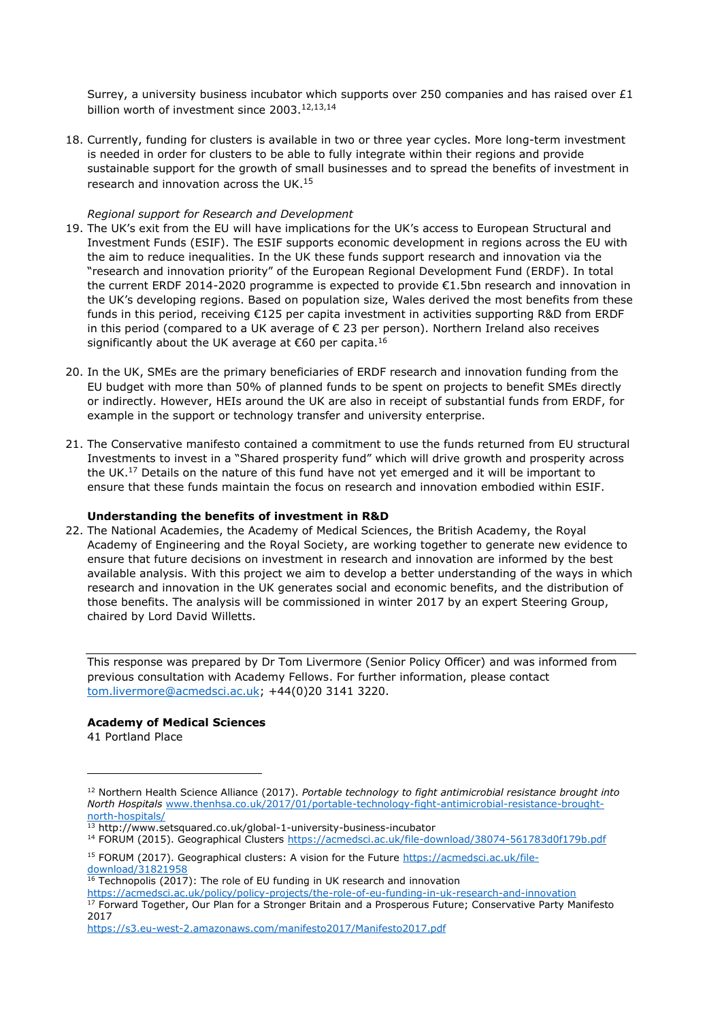Surrey, a university business incubator which supports over 250 companies and has raised over £1 billion worth of investment since 2003.<sup>12,13,14</sup>

18. Currently, funding for clusters is available in two or three year cycles. More long-term investment is needed in order for clusters to be able to fully integrate within their regions and provide sustainable support for the growth of small businesses and to spread the benefits of investment in research and innovation across the UK.<sup>15</sup>

## *Regional support for Research and Development*

- 19. The UK's exit from the EU will have implications for the UK's access to European Structural and Investment Funds (ESIF). The ESIF supports economic development in regions across the EU with the aim to reduce inequalities. In the UK these funds support research and innovation via the "research and innovation priority" of the European Regional Development Fund (ERDF). In total the current ERDF 2014-2020 programme is expected to provide €1.5bn research and innovation in the UK's developing regions. Based on population size, Wales derived the most benefits from these funds in this period, receiving €125 per capita investment in activities supporting R&D from ERDF in this period (compared to a UK average of € 23 per person). Northern Ireland also receives significantly about the UK average at  $€60$  per capita.<sup>16</sup>
- 20. In the UK, SMEs are the primary beneficiaries of ERDF research and innovation funding from the EU budget with more than 50% of planned funds to be spent on projects to benefit SMEs directly or indirectly. However, HEIs around the UK are also in receipt of substantial funds from ERDF, for example in the support or technology transfer and university enterprise.
- 21. The Conservative manifesto contained a commitment to use the funds returned from EU structural Investments to invest in a "Shared prosperity fund" which will drive growth and prosperity across the UK.<sup>17</sup> Details on the nature of this fund have not yet emerged and it will be important to ensure that these funds maintain the focus on research and innovation embodied within ESIF.

## **Understanding the benefits of investment in R&D**

22. The National Academies, the Academy of Medical Sciences, the British Academy, the Royal Academy of Engineering and the Royal Society, are working together to generate new evidence to ensure that future decisions on investment in research and innovation are informed by the best available analysis. With this project we aim to develop a better understanding of the ways in which research and innovation in the UK generates social and economic benefits, and the distribution of those benefits. The analysis will be commissioned in winter 2017 by an expert Steering Group, chaired by Lord David Willetts.

This response was prepared by Dr Tom Livermore (Senior Policy Officer) and was informed from previous consultation with Academy Fellows. For further information, please contact [tom.livermore@acmedsci.ac.uk;](mailto:tom.livermore@acmedsci.ac.uk) +44(0)20 3141 3220.

# **Academy of Medical Sciences**

41 Portland Place

1

<sup>12</sup> Northern Health Science Alliance (2017). *Portable technology to fight antimicrobial resistance brought into North Hospitals* [www.thenhsa.co.uk/2017/01/portable-technology-fight-antimicrobial-resistance-brought](http://www.thenhsa.co.uk/2017/01/portable-technology-fight-antimicrobial-resistance-brought-north-hospitals/)[north-hospitals/](http://www.thenhsa.co.uk/2017/01/portable-technology-fight-antimicrobial-resistance-brought-north-hospitals/)

 $13$  http://www.setsquared.co.uk/global-1-university-business-incubator

<sup>&</sup>lt;sup>14</sup> FORUM (2015). Geographical Clusters<https://acmedsci.ac.uk/file-download/38074-561783d0f179b.pdf>

<sup>15</sup> FORUM (2017). Geographical clusters: A vision for the Future [https://acmedsci.ac.uk/file](https://acmedsci.ac.uk/file-download/31821958)[download/31821958](https://acmedsci.ac.uk/file-download/31821958)

 $16$  Technopolis (2017): The role of EU funding in UK research and innovation

<https://acmedsci.ac.uk/policy/policy-projects/the-role-of-eu-funding-in-uk-research-and-innovation> <sup>17</sup> Forward Together, Our Plan for a Stronger Britain and a Prosperous Future; Conservative Party Manifesto 2017

<https://s3.eu-west-2.amazonaws.com/manifesto2017/Manifesto2017.pdf>